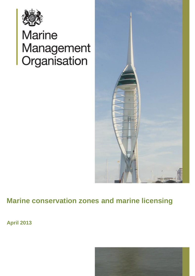

# **Marine** Management<br>Organisation



## **Marine conservation zones and marine licensing**

**April 2013**

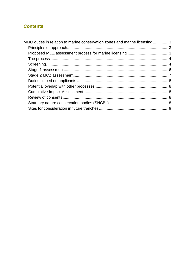### **Contents**

| MMO duties in relation to marine conservation zones and marine licensing3 |  |
|---------------------------------------------------------------------------|--|
|                                                                           |  |
|                                                                           |  |
|                                                                           |  |
|                                                                           |  |
|                                                                           |  |
|                                                                           |  |
|                                                                           |  |
|                                                                           |  |
|                                                                           |  |
|                                                                           |  |
|                                                                           |  |
|                                                                           |  |
|                                                                           |  |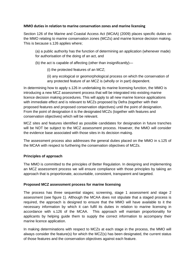#### <span id="page-2-0"></span>**MMO duties in relation to marine conservation zones and marine licensing**

Section 126 of the Marine and Coastal Access Act (MCAA) (2009) places specific duties on the MMO relating to marine conservation zones (MCZs) and marine licence decision making. This is because s.126 applies where;

- (a) a public authority has the function of determining an application (whenever made) for authorisation of the doing of an act, and
- (b) the act is capable of affecting (other than insignificantly)—
	- (i) the protected features of an MCZ;
	- (ii) any ecological or geomorphological process on which the conservation of any protected feature of an MCZ is (wholly or in part) dependent.

In determining how to apply s.126 in undertaking its marine licensing function, the MMO is introducing a new MCZ assessment process that will be integrated into existing marine licence decision making procedures. This will apply to all new marine licence applications with immediate effect and is relevant to MCZs proposed by Defra (together with their proposed features and proposed conservation objectives) until the point of designation. From the point of designation it is the designated MCZs (together with features and conservation objectives) which will be relevant.

MCZ sites and features identified as possible candidates for designation in future tranches will be NOT be subject to the MCZ assessment process. However, the MMO will consider the evidence base associated with those sites in its decision making.

The assessment process also addresses the general duties placed on the MMO in s.125 of the MCAA with respect to furthering the conservation objectives of MCZs.

#### <span id="page-2-1"></span>**Principles of approach**

The MMO is committed to the principles of Better Regulation. In designing and implementing an MCZ assessment process we will ensure compliance with those principles by taking an approach that is proportionate, accountable, consistent, transparent and targeted.

#### <span id="page-2-2"></span>**Proposed MCZ assessment process for marine licensing**

The process has three sequential stages; screening, stage 1 assessment and stage 2 assessment (see figure 1). Although the MCAA does not stipulate that a staged process is required, the approach is designed to ensure that the MMO will have available to it the necessary information by which it can fulfil its duties in relation to marine licensing in accordance with s.126 of the MCAA. This approach will maintain proportionality for applicants by helping guide them to supply the correct information to accompany their marine licence application.

In making determinations with respect to MCZs at each stage in the process, the MMO will always consider the feature(s) for which the MCZ(s) has been designated, the current status of those features and the conservation objectives against each feature.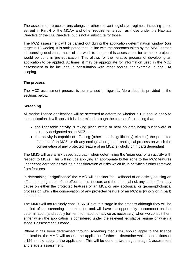The assessment process runs alongside other relevant legislative regimes, including those set out in Part 4 of the MCAA and other requirements such as those under the Habitats Directive or the EIA Directive, but is not a substitute for those.

The MCZ assessment will be carried out during the application determination window (our target is 13 weeks). It is anticipated that, in line with the approach taken by the MMO across all licensing decisions, much of the work to support this assessment for complex projects would be done in pre-application. This allows for the iterative process of developing an application to be applied. At times, it may be appropriate for information used in the MCZ assessment to be included in consultation with other bodies, for example, during EIA scoping.

#### <span id="page-3-0"></span>**The process**

The MCZ assessment process is summarised in figure 1. More detail is provided in the sections below.

#### <span id="page-3-1"></span>**Screening**

All marine licence applications will be screened to determine whether s.126 should apply to the application. It will apply if it is determined through the course of screening that;

- the licensable activity is taking place within or near an area being put forward or already designated as an MCZ; and
- $\bullet$  the activity is capable of affecting (other than insignificantly) either (i) the protected features of an MCZ; or (ii) any ecological or geomorphological process on which the conservation of any protected feature of an MCZ is (wholly or in part) dependant

The MMO will use a risk based approach when determining the "nearness" of an activity with respect to MCZs. This will include applying an appropriate buffer zone to the MCZ features under consideration as well as a consideration of risks which lie in activities further removed from features.

In determining 'insignificance' the MMO will consider the likelihood of an activity causing an effect, the magnitude of the effect should it occur, and the potential risk any such effect may cause on either the protected features of an MCZ or any ecological or geomorphological process on which the conservation of any protected feature of an MCZ is (wholly or in part) dependant.

The MMO will not routinely consult SNCBs at this stage in the process although they will be notified of our screening determination and will have the opportunity to comment on that determination (and supply further information or advice as necessary) when we consult them either when the application is considered under the relevant legislative regime or when a stage 1 assessment is made.

Where it has been determined through screening that s.126 should apply to the licence application, the MMO will assess the application further to determine which subsections of s.126 should apply to the application. This will be done in two stages; stage 1 assessment and stage 2 assessment.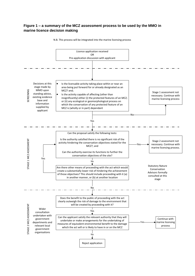#### **Figure 1 – a summary of the MCZ assessment process to be used by the MMO in marine licence decision making**



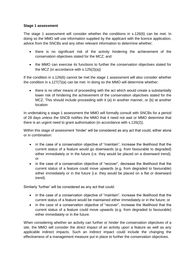#### <span id="page-5-0"></span>**Stage 1 assessment**

The stage 1 assessment will consider whether the conditions in s.126(6) can be met. In doing so the MMO will use information supplied by the applicant with the licence application, advice from the SNCBs and any other relevant information to determine whether;

- there is no significant risk of the activity hindering the achievement of the conservation objectives stated for the MCZ; and
- the MMO can exercise its functions to further the conservation objectives stated for the MCZ (in accordance with s.125(2)(a))

If the condition in s.126(6) cannot be met the stage 1 assessment will also consider whether the condition in s.127(7)(a) can be met. In doing so the MMO will determine whether;

• there is no other means of proceeding with the act which would create a substantially lower risk of hindering the achievement of the conservation objectives stated for the MCZ. This should include proceeding with it (a) in another manner, or (b) at another location

In undertaking a stage 1 assessment the MMO will formally consult with SNCBs for a period of 28 days unless the SNCB notifies the MMO that it need not wait or MMO determine that there is an urgent need to grant authorisation (in accordance with s.126(2)).

Within this stage of assessment "hinder" will be considered as any act that could, either alone or in combination:

- in the case of a conservation objective of "maintain", increase the likelihood that the current status of a feature would go downwards (e.g. from favourable to degraded) either immediately or in the future (i.e. they would be placed on a downward trend); or
- in the case of a conservation objective of "recover", decrease the likelihood that the current status of a feature could move upwards (e.g. from degraded to favourable) either immediately or in the future (i.e. they would be placed on a flat or downward trend).

Similarly "further" will be considered as any act that could:

- in the case of a conservation objective of "maintain", increase the likelihood that the current status of a feature would be maintained either immediately or in the future; or
- in the case of a conservation objective of "recover", increase the likelihood that the current status of a feature could move upwards (e.g. from degraded to favourable) either immediately or in the future.

When considering whether an activity can further or hinder the conservation objectives of a site, the MMO will consider the direct impact of an activity upon a feature as well as any applicable indirect impacts. Such an indirect impact could include the changing the effectiveness of a management measure put in place to further the conservation objectives.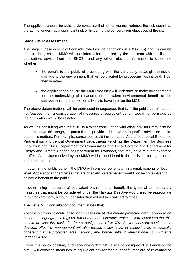The applicant should be able to demonstrate that "other means" reduces the risk such that the act no longer has a significant risk of hindering the conservation objectives of the site.

#### <span id="page-6-0"></span>**Stage 2 MCZ assessment**

The stage 2 assessment will consider whether the conditions in s.126(7)(b) and (c) can be met. In doing so the MMO will use information supplied by the applicant with the licence application, advice from the SNCBs and any other relevant information to determine whether;

- the benefit to the public of proceeding with the act clearly outweigh the risk of damage to the environment that will be created by proceeding with it; and, if so, then whether
- the applicant can satisfy the MMO that they will undertake or make arrangements for the undertaking of measures of equivalent environmental benefit to the damage which the act will or is likely to have in or on the MCZ.

The above determinations will be addressed in sequence, that is, if the public benefit test is not "passed" then a consideration of measures of equivalent benefit would not be made as the application would be rejected.

As well as consulting with the SNCBs a wider consultation with other advisors may also be undertaken at this stage, in particular to provide additional and specific advice on socioeconomic matters. For example, consultees could include Local Authorities, Local Enterprise Partnerships and central Government departments (such as the Department for Business Innovation and Skills, Department for Communities and Local Government, Department for Energy and Climate Change or Department for Transport) that may have relevant expertise to offer. All advice received by the MMO will be considered in the decision making process in the normal manner.

In determining "public benefit" the MMO will consider benefits at a national, regional or local level. Applications for activities that are of solely private benefit would not be considered to deliver a benefit to the public.

In determining 'measures of equivalent environmental benefit' the types of compensatory measures that might be considered under the Habitats Directive would also be appropriate to put forward here, although consideration will not be confined to those.

The Defra MCZ consultation document states that;

*There is a strong scientific case for an assessment of a marine protected area network to be based on biogeographic regions, rather than administrative regions. Defra considers that this should provide the basis for future designation of MCZs. As the network continues to develop, effective management will also remain a key factor in assessing an ecologically coherent marine protected area network, and further links to international commitments under OSPAR*.

Given this policy position, and recognising that MCZs will be designated in tranches, the MMO will consider "measures of equivalent environmental benefit" that are of relevance to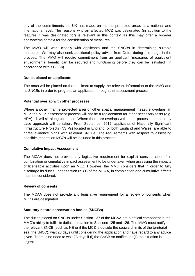any of the commitments the UK has made on marine protected areas at a national and international level. The reasons why an affected MCZ was designated (in addition to the features it was designated for) is relevant in this context as this may offer a broader ecosystems context for the consideration of measures.

The MMO will work closely with applicants and the SNCBs in determining suitable measures. We may also seek additional policy advice from Defra during this stage in the process. The MMO will require commitment from an applicant "measures of equivalent environmental benefit' can be secured and functioning before they can be 'satisfied' (in accordance with s126(9)).

#### <span id="page-7-0"></span>**Duties placed on applicants**

The onus will be placed on the applicant to supply the relevant information to the MMO and its SNCBs in order to progress an application through the assessment process.

#### <span id="page-7-1"></span>**Potential overlap with other processes**

Where another marine protected area or other spatial management measure overlaps an MCZ the MCZ assessment process will not be a replacement for other necessary tests (e.g. HRA) - it will sit alongside those. Where there are overlaps with other processes, a case by case approach will be taken. From September 2012, applicants of Nationally Significant Infrastructure Projects (NSIPs) located in England, or both England and Wales, are able to agree evidence plans with relevant SNCBs. The requirements with respect to assessing possible impacts on MCZs will be included in this process.

#### <span id="page-7-2"></span>**Cumulative Impact Assessment**

The MCAA does not provide any legislative requirement for explicit consideration of in combination or cumulative impact assessment to be undertaken when assessing the impacts of licensable activities upon an MCZ. However, the MMO considers that in order to fully discharge its duties under section 69 (1) of the MCAA, in combination and cumulative effects must be considered.

#### <span id="page-7-3"></span>**Review of consents**

The MCAA does not provide any legislative requirement for a review of consents when MCZs are designated.

#### <span id="page-7-4"></span>**Statutory nature conservation bodies (SNCBs)**

The duties placed on SNCBs under Section 127 of the MCAA are a critical component in the MMO"s ability to fulfill its duties in relation to Sections 125 and 126. The MMO must notify the relevant SNCB (such as NE or if the MCZ is outside the seaward limits of the territorial sea, the JNCC), wait 28 days until considering the application and have regard to any advice given. There is no need to wait 28 days if (i) the SNCB so notifies, or (ii) the situation is urgent.